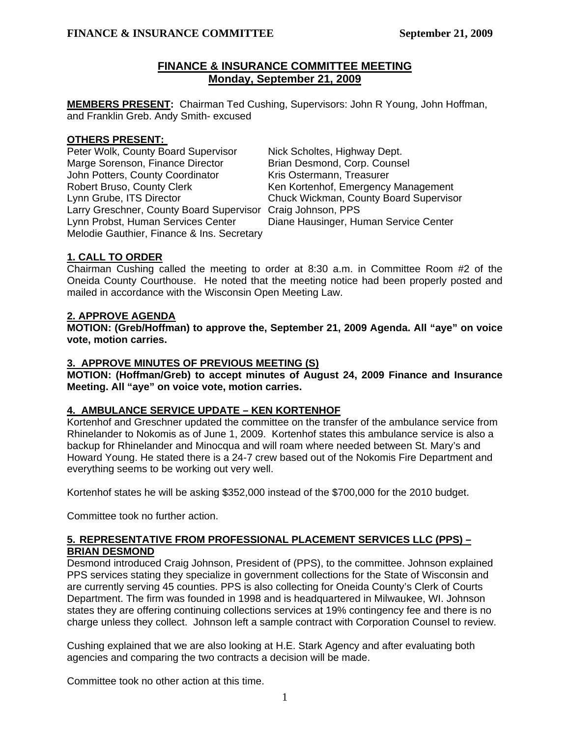# **FINANCE & INSURANCE COMMITTEE MEETING Monday, September 21, 2009**

**MEMBERS PRESENT:** Chairman Ted Cushing, Supervisors: John R Young, John Hoffman, and Franklin Greb. Andy Smith- excused

### **OTHERS PRESENT:**

Peter Wolk, County Board Supervisor Nick Scholtes, Highway Dept. Marge Sorenson, Finance Director Brian Desmond, Corp. Counsel John Potters, County Coordinator Kris Ostermann, Treasurer Robert Bruso, County Clerk Ken Kortenhof, Emergency Management Lynn Grube, ITS Director Chuck Wickman, County Board Supervisor Larry Greschner, County Board Supervisor Craig Johnson, PPS Lynn Probst, Human Services Center Diane Hausinger, Human Service Center Melodie Gauthier, Finance & Ins. Secretary

## **1. CALL TO ORDER**

Chairman Cushing called the meeting to order at 8:30 a.m. in Committee Room #2 of the Oneida County Courthouse. He noted that the meeting notice had been properly posted and mailed in accordance with the Wisconsin Open Meeting Law.

## **2. APPROVE AGENDA**

**MOTION: (Greb/Hoffman) to approve the, September 21, 2009 Agenda. All "aye" on voice vote, motion carries.** 

## **3. APPROVE MINUTES OF PREVIOUS MEETING (S)**

 **MOTION: (Hoffman/Greb) to accept minutes of August 24, 2009 Finance and Insurance Meeting. All "aye" on voice vote, motion carries.** 

## **4. AMBULANCE SERVICE UPDATE – KEN KORTENHOF**

Kortenhof and Greschner updated the committee on the transfer of the ambulance service from Rhinelander to Nokomis as of June 1, 2009. Kortenhof states this ambulance service is also a backup for Rhinelander and Minocqua and will roam where needed between St. Mary's and Howard Young. He stated there is a 24-7 crew based out of the Nokomis Fire Department and everything seems to be working out very well.

Kortenhof states he will be asking \$352,000 instead of the \$700,000 for the 2010 budget.

Committee took no further action.

# **5. REPRESENTATIVE FROM PROFESSIONAL PLACEMENT SERVICES LLC (PPS) – BRIAN DESMOND**

 Desmond introduced Craig Johnson, President of (PPS), to the committee. Johnson explained PPS services stating they specialize in government collections for the State of Wisconsin and are currently serving 45 counties. PPS is also collecting for Oneida County's Clerk of Courts Department. The firm was founded in 1998 and is headquartered in Milwaukee, WI. Johnson states they are offering continuing collections services at 19% contingency fee and there is no charge unless they collect. Johnson left a sample contract with Corporation Counsel to review.

Cushing explained that we are also looking at H.E. Stark Agency and after evaluating both agencies and comparing the two contracts a decision will be made.

Committee took no other action at this time.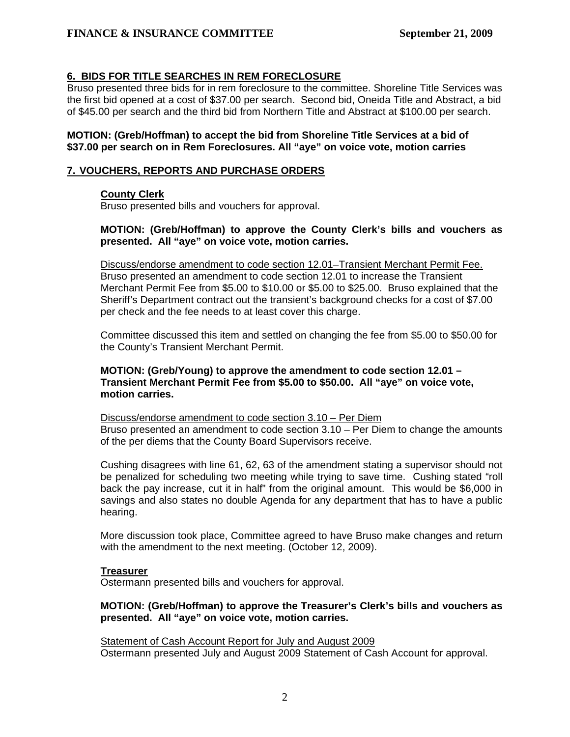## **6. BIDS FOR TITLE SEARCHES IN REM FORECLOSURE**

 Bruso presented three bids for in rem foreclosure to the committee. Shoreline Title Services was the first bid opened at a cost of \$37.00 per search. Second bid, Oneida Title and Abstract, a bid of \$45.00 per search and the third bid from Northern Title and Abstract at \$100.00 per search.

### **MOTION: (Greb/Hoffman) to accept the bid from Shoreline Title Services at a bid of \$37.00 per search on in Rem Foreclosures. All "aye" on voice vote, motion carries**

#### **7. VOUCHERS, REPORTS AND PURCHASE ORDERS**

### **County Clerk**

Bruso presented bills and vouchers for approval.

### **MOTION: (Greb/Hoffman) to approve the County Clerk's bills and vouchers as presented. All "aye" on voice vote, motion carries.**

 Discuss/endorse amendment to code section 12.01–Transient Merchant Permit Fee. Bruso presented an amendment to code section 12.01 to increase the Transient Merchant Permit Fee from \$5.00 to \$10.00 or \$5.00 to \$25.00. Bruso explained that the Sheriff's Department contract out the transient's background checks for a cost of \$7.00 per check and the fee needs to at least cover this charge.

Committee discussed this item and settled on changing the fee from \$5.00 to \$50.00 for the County's Transient Merchant Permit.

### **MOTION: (Greb/Young) to approve the amendment to code section 12.01 – Transient Merchant Permit Fee from \$5.00 to \$50.00. All "aye" on voice vote, motion carries.**

 Discuss/endorse amendment to code section 3.10 – Per Diem Bruso presented an amendment to code section 3.10 – Per Diem to change the amounts of the per diems that the County Board Supervisors receive.

Cushing disagrees with line 61, 62, 63 of the amendment stating a supervisor should not be penalized for scheduling two meeting while trying to save time. Cushing stated "roll back the pay increase, cut it in half" from the original amount. This would be \$6,000 in savings and also states no double Agenda for any department that has to have a public hearing.

More discussion took place, Committee agreed to have Bruso make changes and return with the amendment to the next meeting. (October 12, 2009).

### **Treasurer**

Ostermann presented bills and vouchers for approval.

### **MOTION: (Greb/Hoffman) to approve the Treasurer's Clerk's bills and vouchers as presented. All "aye" on voice vote, motion carries.**

Statement of Cash Account Report for July and August 2009 Ostermann presented July and August 2009 Statement of Cash Account for approval.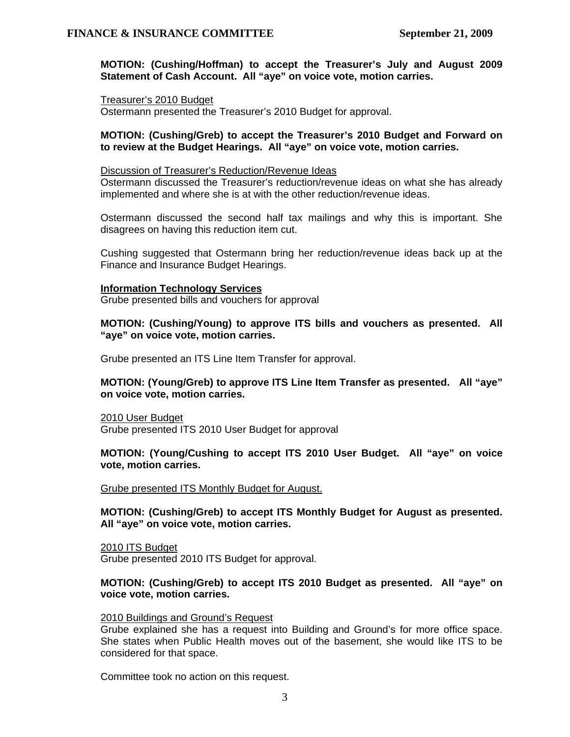**MOTION: (Cushing/Hoffman) to accept the Treasurer's July and August 2009 Statement of Cash Account. All "aye" on voice vote, motion carries.**

#### Treasurer's 2010 Budget

Ostermann presented the Treasurer's 2010 Budget for approval.

#### **MOTION: (Cushing/Greb) to accept the Treasurer's 2010 Budget and Forward on to review at the Budget Hearings. All "aye" on voice vote, motion carries.**

#### Discussion of Treasurer's Reduction/Revenue Ideas

Ostermann discussed the Treasurer's reduction/revenue ideas on what she has already implemented and where she is at with the other reduction/revenue ideas.

Ostermann discussed the second half tax mailings and why this is important. She disagrees on having this reduction item cut.

Cushing suggested that Ostermann bring her reduction/revenue ideas back up at the Finance and Insurance Budget Hearings.

#### **Information Technology Services**

Grube presented bills and vouchers for approval

**MOTION: (Cushing/Young) to approve ITS bills and vouchers as presented. All "aye" on voice vote, motion carries.** 

Grube presented an ITS Line Item Transfer for approval.

### **MOTION: (Young/Greb) to approve ITS Line Item Transfer as presented. All "aye" on voice vote, motion carries.**

2010 User Budget Grube presented ITS 2010 User Budget for approval

### **MOTION: (Young/Cushing to accept ITS 2010 User Budget. All "aye" on voice vote, motion carries.**

#### Grube presented ITS Monthly Budget for August.

**MOTION: (Cushing/Greb) to accept ITS Monthly Budget for August as presented. All "aye" on voice vote, motion carries.** 

2010 ITS Budget

Grube presented 2010 ITS Budget for approval.

### **MOTION: (Cushing/Greb) to accept ITS 2010 Budget as presented. All "aye" on voice vote, motion carries.**

### 2010 Buildings and Ground's Request

Grube explained she has a request into Building and Ground's for more office space. She states when Public Health moves out of the basement, she would like ITS to be considered for that space.

Committee took no action on this request.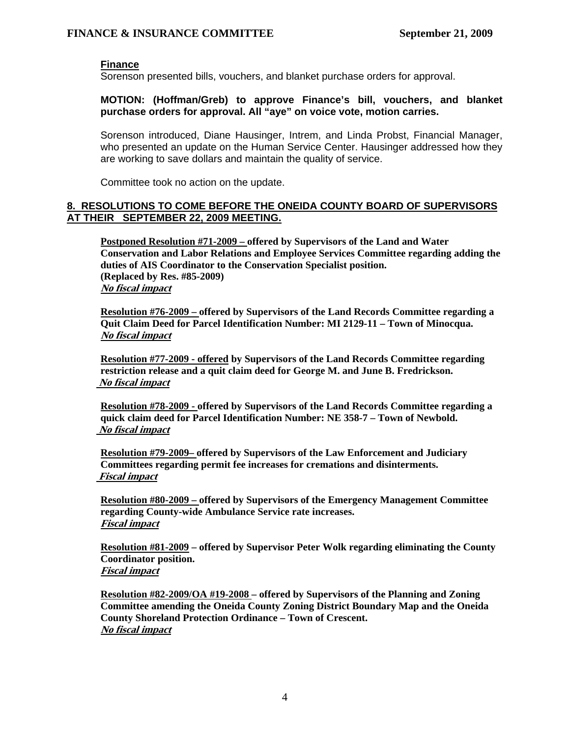### **Finance**

Sorenson presented bills, vouchers, and blanket purchase orders for approval.

### **MOTION: (Hoffman/Greb) to approve Finance's bill, vouchers, and blanket purchase orders for approval. All "aye" on voice vote, motion carries.**

Sorenson introduced, Diane Hausinger, Intrem, and Linda Probst, Financial Manager, who presented an update on the Human Service Center. Hausinger addressed how they are working to save dollars and maintain the quality of service.

Committee took no action on the update.

### **8. RESOLUTIONS TO COME BEFORE THE ONEIDA COUNTY BOARD OF SUPERVISORS AT THEIR SEPTEMBER 22, 2009 MEETING.**

**Postponed Resolution #71-2009 – offered by Supervisors of the Land and Water Conservation and Labor Relations and Employee Services Committee regarding adding the duties of AIS Coordinator to the Conservation Specialist position. (Replaced by Res. #85-2009) No fiscal impact**

**Resolution #76-2009 – offered by Supervisors of the Land Records Committee regarding a Quit Claim Deed for Parcel Identification Number: MI 2129-11 – Town of Minocqua. No fiscal impact**

**Resolution #77-2009 - offered by Supervisors of the Land Records Committee regarding restriction release and a quit claim deed for George M. and June B. Fredrickson. No fiscal impact**

**Resolution #78-2009 - offered by Supervisors of the Land Records Committee regarding a quick claim deed for Parcel Identification Number: NE 358-7 – Town of Newbold. No fiscal impact**

**Resolution #79-2009– offered by Supervisors of the Law Enforcement and Judiciary Committees regarding permit fee increases for cremations and disinterments. Fiscal impact**

**Resolution #80-2009 – offered by Supervisors of the Emergency Management Committee regarding County-wide Ambulance Service rate increases. Fiscal impact**

**Resolution #81-2009 – offered by Supervisor Peter Wolk regarding eliminating the County Coordinator position. Fiscal impact**

**Resolution #82-2009/OA #19-2008 – offered by Supervisors of the Planning and Zoning Committee amending the Oneida County Zoning District Boundary Map and the Oneida County Shoreland Protection Ordinance – Town of Crescent. No fiscal impact**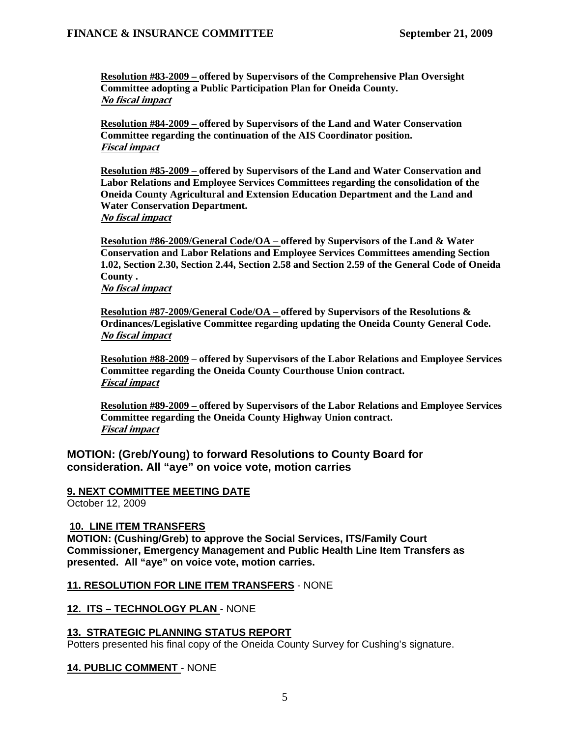**Resolution #83-2009 – offered by Supervisors of the Comprehensive Plan Oversight Committee adopting a Public Participation Plan for Oneida County. No fiscal impact**

**Resolution #84-2009 – offered by Supervisors of the Land and Water Conservation Committee regarding the continuation of the AIS Coordinator position. Fiscal impact**

**Resolution #85-2009 – offered by Supervisors of the Land and Water Conservation and Labor Relations and Employee Services Committees regarding the consolidation of the Oneida County Agricultural and Extension Education Department and the Land and Water Conservation Department. No fiscal impact**

**Resolution #86-2009/General Code/OA – offered by Supervisors of the Land & Water Conservation and Labor Relations and Employee Services Committees amending Section 1.02, Section 2.30, Section 2.44, Section 2.58 and Section 2.59 of the General Code of Oneida County .** 

**No fiscal impact**

**Resolution #87-2009/General Code/OA – offered by Supervisors of the Resolutions & Ordinances/Legislative Committee regarding updating the Oneida County General Code. No fiscal impact**

**Resolution #88-2009 – offered by Supervisors of the Labor Relations and Employee Services Committee regarding the Oneida County Courthouse Union contract. Fiscal impact**

**Resolution #89-2009 – offered by Supervisors of the Labor Relations and Employee Services Committee regarding the Oneida County Highway Union contract. Fiscal impact**

**MOTION: (Greb/Young) to forward Resolutions to County Board for consideration. All "aye" on voice vote, motion carries**

## **9. NEXT COMMITTEE MEETING DATE**

October 12, 2009

### **10. LINE ITEM TRANSFERS**

**MOTION: (Cushing/Greb) to approve the Social Services, ITS/Family Court Commissioner, Emergency Management and Public Health Line Item Transfers as presented. All "aye" on voice vote, motion carries.** 

### **11. RESOLUTION FOR LINE ITEM TRANSFERS** - NONE

### **12. ITS – TECHNOLOGY PLAN** - NONE

### **13. STRATEGIC PLANNING STATUS REPORT**

Potters presented his final copy of the Oneida County Survey for Cushing's signature.

### **14. PUBLIC COMMENT** - NONE